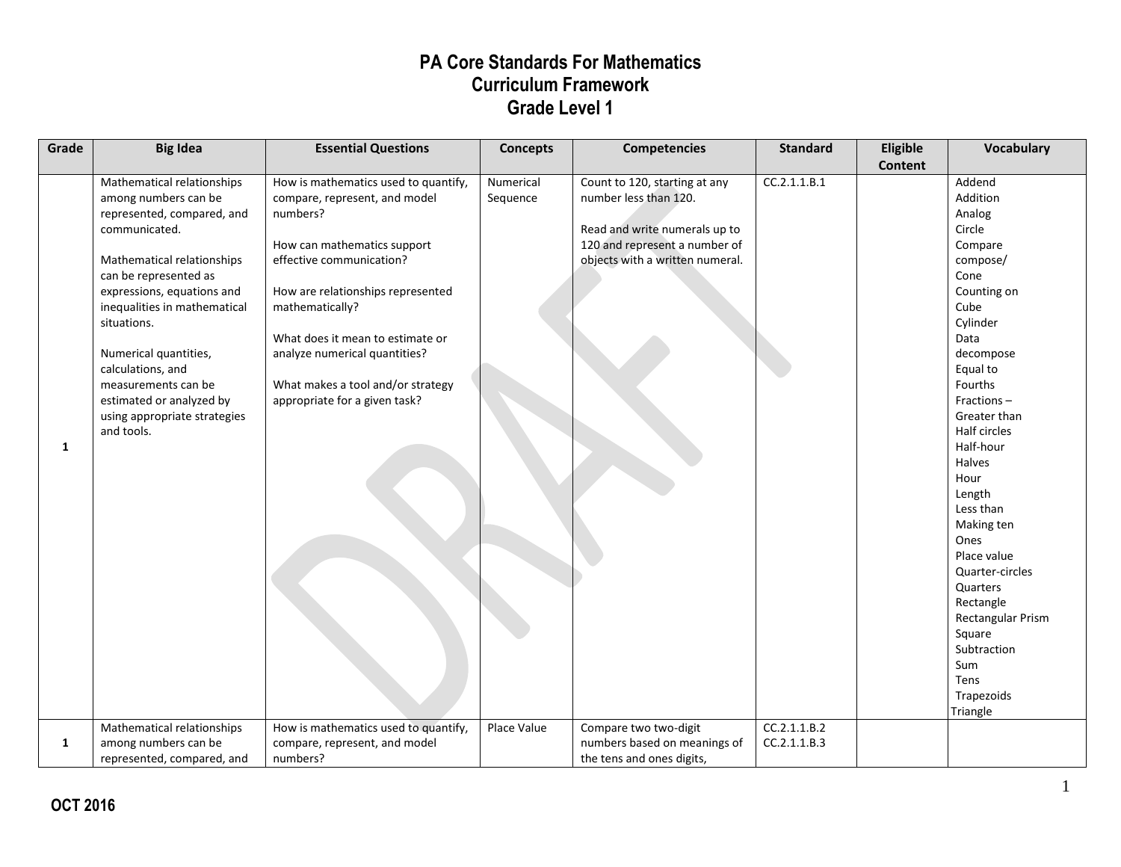| Grade | <b>Big Idea</b>                                                                                                                                                                                                                                                                                                                                                                      | <b>Essential Questions</b>                                                                                                                                                                                                                                                                                                                      | <b>Concepts</b>       | <b>Competencies</b>                                                                                                                                         | <b>Standard</b>              | Eligible       | Vocabulary                                                                                                                                                                                                                                                                                                                                                                                                           |
|-------|--------------------------------------------------------------------------------------------------------------------------------------------------------------------------------------------------------------------------------------------------------------------------------------------------------------------------------------------------------------------------------------|-------------------------------------------------------------------------------------------------------------------------------------------------------------------------------------------------------------------------------------------------------------------------------------------------------------------------------------------------|-----------------------|-------------------------------------------------------------------------------------------------------------------------------------------------------------|------------------------------|----------------|----------------------------------------------------------------------------------------------------------------------------------------------------------------------------------------------------------------------------------------------------------------------------------------------------------------------------------------------------------------------------------------------------------------------|
| 1     | Mathematical relationships<br>among numbers can be<br>represented, compared, and<br>communicated.<br>Mathematical relationships<br>can be represented as<br>expressions, equations and<br>inequalities in mathematical<br>situations.<br>Numerical quantities,<br>calculations, and<br>measurements can be<br>estimated or analyzed by<br>using appropriate strategies<br>and tools. | How is mathematics used to quantify,<br>compare, represent, and model<br>numbers?<br>How can mathematics support<br>effective communication?<br>How are relationships represented<br>mathematically?<br>What does it mean to estimate or<br>analyze numerical quantities?<br>What makes a tool and/or strategy<br>appropriate for a given task? | Numerical<br>Sequence | Count to 120, starting at any<br>number less than 120.<br>Read and write numerals up to<br>120 and represent a number of<br>objects with a written numeral. | CC.2.1.1.B.1                 | <b>Content</b> | Addend<br>Addition<br>Analog<br>Circle<br>Compare<br>compose/<br>Cone<br>Counting on<br>Cube<br>Cylinder<br>Data<br>decompose<br>Equal to<br>Fourths<br>Fractions-<br>Greater than<br>Half circles<br>Half-hour<br>Halves<br>Hour<br>Length<br>Less than<br>Making ten<br>Ones<br>Place value<br>Quarter-circles<br>Quarters<br>Rectangle<br>Rectangular Prism<br>Square<br>Subtraction<br>Sum<br>Tens<br>Trapezoids |
| 1     | Mathematical relationships<br>among numbers can be<br>represented, compared, and                                                                                                                                                                                                                                                                                                     | How is mathematics used to quantify,<br>compare, represent, and model<br>numbers?                                                                                                                                                                                                                                                               | Place Value           | Compare two two-digit<br>numbers based on meanings of<br>the tens and ones digits,                                                                          | CC.2.1.1.B.2<br>CC.2.1.1.B.3 |                | Triangle                                                                                                                                                                                                                                                                                                                                                                                                             |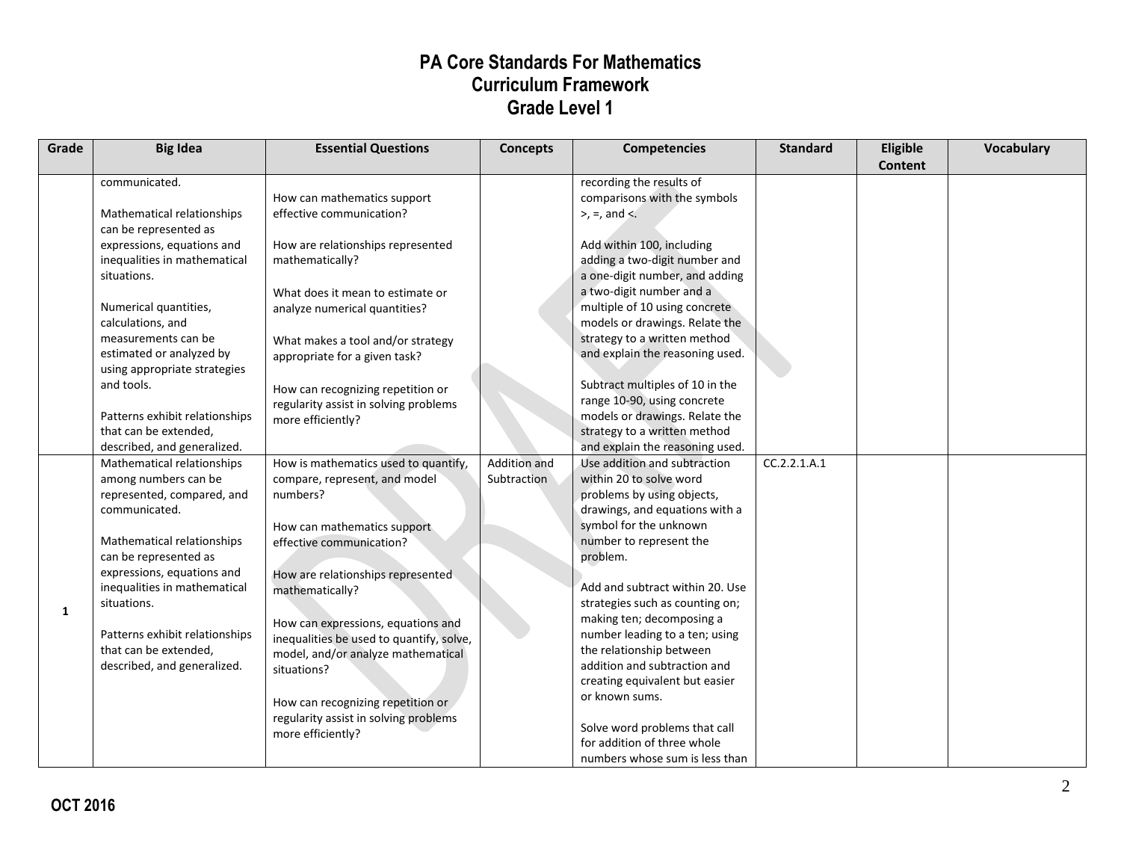| Grade | <b>Big Idea</b>                                                                                                                                                                                                                                                                                                                                                                            | <b>Essential Questions</b>                                                                                                                                                                                                                                                                                                                                                                                                                     | <b>Concepts</b>             | <b>Competencies</b>                                                                                                                                                                                                                                                                                                                                                                                                                                                                                                                             | <b>Standard</b> | Eligible<br>Content | <b>Vocabulary</b> |
|-------|--------------------------------------------------------------------------------------------------------------------------------------------------------------------------------------------------------------------------------------------------------------------------------------------------------------------------------------------------------------------------------------------|------------------------------------------------------------------------------------------------------------------------------------------------------------------------------------------------------------------------------------------------------------------------------------------------------------------------------------------------------------------------------------------------------------------------------------------------|-----------------------------|-------------------------------------------------------------------------------------------------------------------------------------------------------------------------------------------------------------------------------------------------------------------------------------------------------------------------------------------------------------------------------------------------------------------------------------------------------------------------------------------------------------------------------------------------|-----------------|---------------------|-------------------|
|       | communicated.<br>Mathematical relationships<br>can be represented as<br>expressions, equations and<br>inequalities in mathematical<br>situations.<br>Numerical quantities,<br>calculations, and<br>measurements can be<br>estimated or analyzed by<br>using appropriate strategies<br>and tools.<br>Patterns exhibit relationships<br>that can be extended,<br>described, and generalized. | How can mathematics support<br>effective communication?<br>How are relationships represented<br>mathematically?<br>What does it mean to estimate or<br>analyze numerical quantities?<br>What makes a tool and/or strategy<br>appropriate for a given task?<br>How can recognizing repetition or<br>regularity assist in solving problems<br>more efficiently?                                                                                  |                             | recording the results of<br>comparisons with the symbols<br>$>$ , =, and $\lt$ .<br>Add within 100, including<br>adding a two-digit number and<br>a one-digit number, and adding<br>a two-digit number and a<br>multiple of 10 using concrete<br>models or drawings. Relate the<br>strategy to a written method<br>and explain the reasoning used.<br>Subtract multiples of 10 in the<br>range 10-90, using concrete<br>models or drawings. Relate the<br>strategy to a written method<br>and explain the reasoning used.                       |                 |                     |                   |
| 1     | Mathematical relationships<br>among numbers can be<br>represented, compared, and<br>communicated.<br>Mathematical relationships<br>can be represented as<br>expressions, equations and<br>inequalities in mathematical<br>situations.<br>Patterns exhibit relationships<br>that can be extended,<br>described, and generalized.                                                            | How is mathematics used to quantify,<br>compare, represent, and model<br>numbers?<br>How can mathematics support<br>effective communication?<br>How are relationships represented<br>mathematically?<br>How can expressions, equations and<br>inequalities be used to quantify, solve,<br>model, and/or analyze mathematical<br>situations?<br>How can recognizing repetition or<br>regularity assist in solving problems<br>more efficiently? | Addition and<br>Subtraction | Use addition and subtraction<br>within 20 to solve word<br>problems by using objects,<br>drawings, and equations with a<br>symbol for the unknown<br>number to represent the<br>problem.<br>Add and subtract within 20. Use<br>strategies such as counting on;<br>making ten; decomposing a<br>number leading to a ten; using<br>the relationship between<br>addition and subtraction and<br>creating equivalent but easier<br>or known sums.<br>Solve word problems that call<br>for addition of three whole<br>numbers whose sum is less than | CC.2.2.1.A.1    |                     |                   |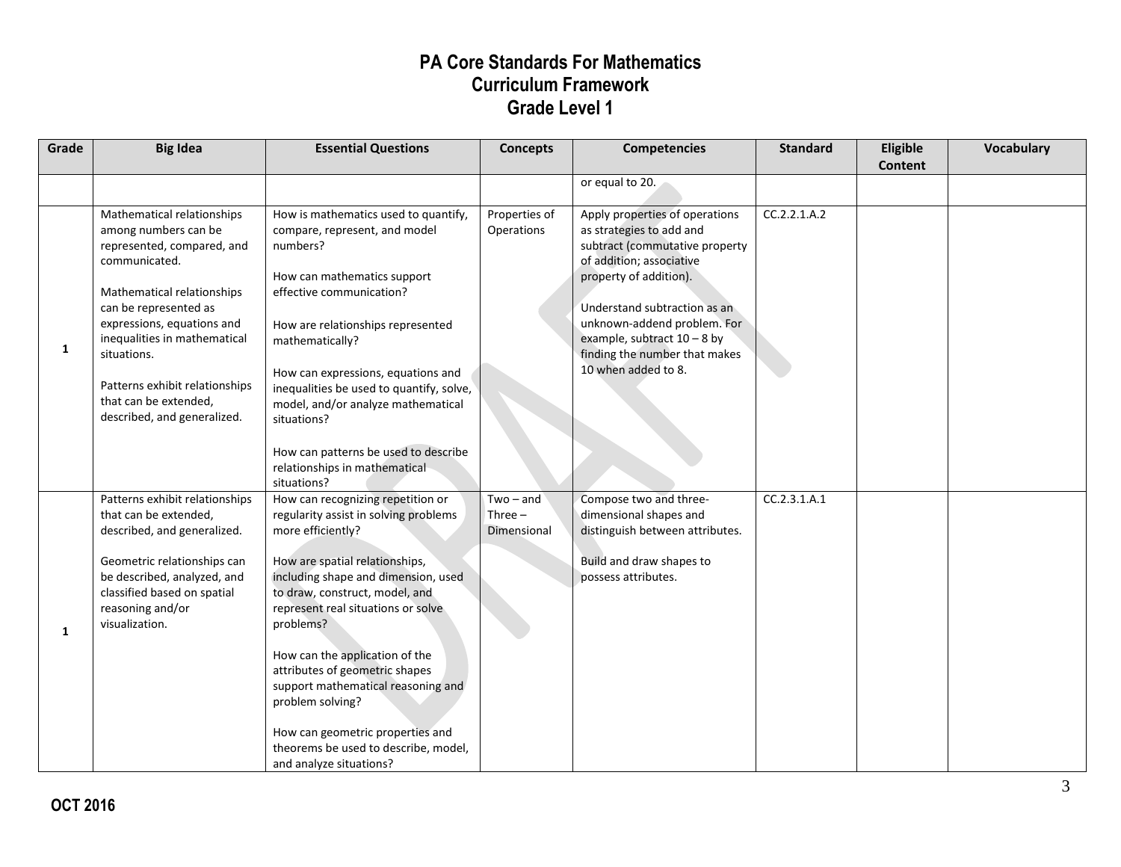| Grade | <b>Big Idea</b>                                                                                                                                                                                                                                                                                                                 | <b>Essential Questions</b>                                                                                                                                                                                                                                                                                                                                                                                                                                                                         | <b>Concepts</b>                         | <b>Competencies</b>                                                                                                                                                                                                                                                                                        | <b>Standard</b> | Eligible<br>Content | <b>Vocabulary</b> |
|-------|---------------------------------------------------------------------------------------------------------------------------------------------------------------------------------------------------------------------------------------------------------------------------------------------------------------------------------|----------------------------------------------------------------------------------------------------------------------------------------------------------------------------------------------------------------------------------------------------------------------------------------------------------------------------------------------------------------------------------------------------------------------------------------------------------------------------------------------------|-----------------------------------------|------------------------------------------------------------------------------------------------------------------------------------------------------------------------------------------------------------------------------------------------------------------------------------------------------------|-----------------|---------------------|-------------------|
|       |                                                                                                                                                                                                                                                                                                                                 |                                                                                                                                                                                                                                                                                                                                                                                                                                                                                                    |                                         | or equal to 20.                                                                                                                                                                                                                                                                                            |                 |                     |                   |
| 1     | Mathematical relationships<br>among numbers can be<br>represented, compared, and<br>communicated.<br>Mathematical relationships<br>can be represented as<br>expressions, equations and<br>inequalities in mathematical<br>situations.<br>Patterns exhibit relationships<br>that can be extended,<br>described, and generalized. | How is mathematics used to quantify,<br>compare, represent, and model<br>numbers?<br>How can mathematics support<br>effective communication?<br>How are relationships represented<br>mathematically?<br>How can expressions, equations and<br>inequalities be used to quantify, solve,<br>model, and/or analyze mathematical<br>situations?<br>How can patterns be used to describe<br>relationships in mathematical<br>situations?                                                                | Properties of<br>Operations             | Apply properties of operations<br>as strategies to add and<br>subtract (commutative property<br>of addition; associative<br>property of addition).<br>Understand subtraction as an<br>unknown-addend problem. For<br>example, subtract $10 - 8$ by<br>finding the number that makes<br>10 when added to 8. | CC.2.2.1.A.2    |                     |                   |
| 1     | Patterns exhibit relationships<br>that can be extended,<br>described, and generalized.<br>Geometric relationships can<br>be described, analyzed, and<br>classified based on spatial<br>reasoning and/or<br>visualization.                                                                                                       | How can recognizing repetition or<br>regularity assist in solving problems<br>more efficiently?<br>How are spatial relationships,<br>including shape and dimension, used<br>to draw, construct, model, and<br>represent real situations or solve<br>problems?<br>How can the application of the<br>attributes of geometric shapes<br>support mathematical reasoning and<br>problem solving?<br>How can geometric properties and<br>theorems be used to describe, model,<br>and analyze situations? | $Two - and$<br>Three $-$<br>Dimensional | Compose two and three-<br>dimensional shapes and<br>distinguish between attributes.<br>Build and draw shapes to<br>possess attributes.                                                                                                                                                                     | CC.2.3.1.A.1    |                     |                   |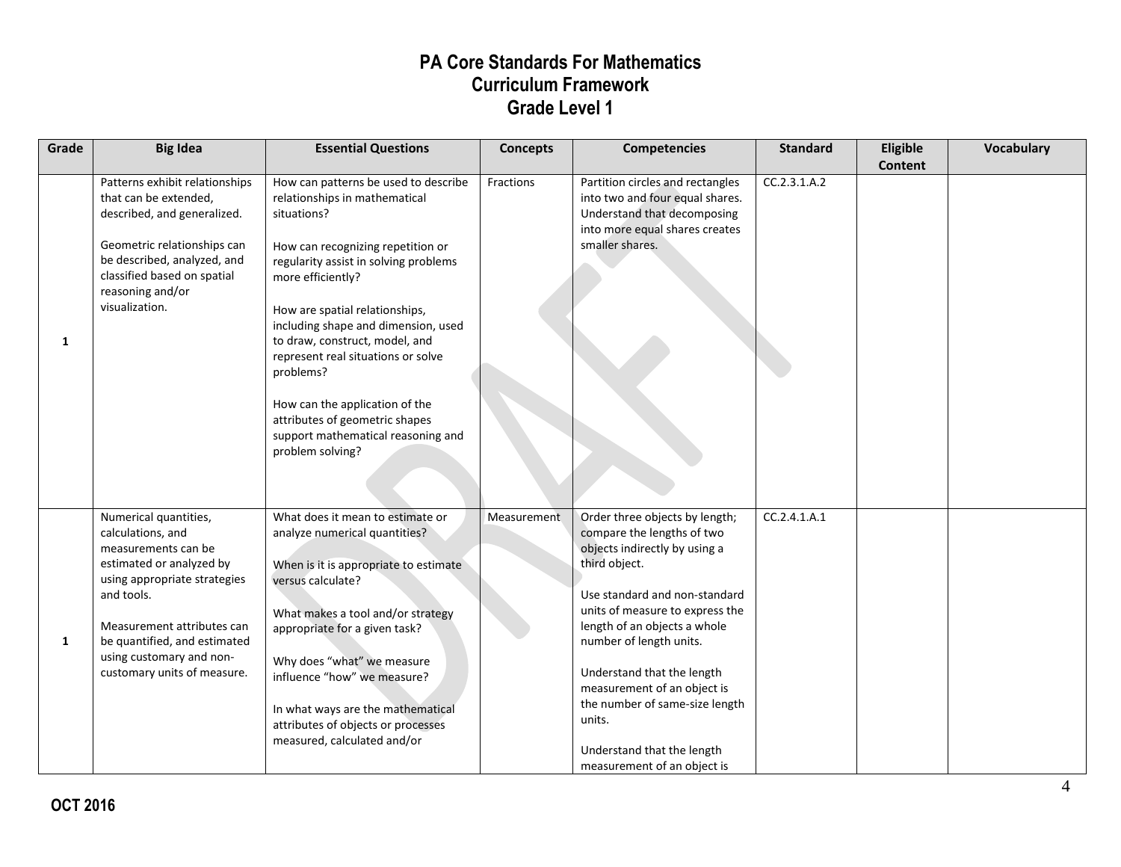| Grade | <b>Big Idea</b>                                                                                                                                                                                                                                                      | <b>Essential Questions</b>                                                                                                                                                                                                                                                                                                                                                                                                                                                          | <b>Concepts</b>    | <b>Competencies</b>                                                                                                                                                                                                                                                                                                                                                                                                 | <b>Standard</b> | Eligible | Vocabulary |
|-------|----------------------------------------------------------------------------------------------------------------------------------------------------------------------------------------------------------------------------------------------------------------------|-------------------------------------------------------------------------------------------------------------------------------------------------------------------------------------------------------------------------------------------------------------------------------------------------------------------------------------------------------------------------------------------------------------------------------------------------------------------------------------|--------------------|---------------------------------------------------------------------------------------------------------------------------------------------------------------------------------------------------------------------------------------------------------------------------------------------------------------------------------------------------------------------------------------------------------------------|-----------------|----------|------------|
| 1     | Patterns exhibit relationships<br>that can be extended,<br>described, and generalized.<br>Geometric relationships can<br>be described, analyzed, and<br>classified based on spatial<br>reasoning and/or<br>visualization.                                            | How can patterns be used to describe<br>relationships in mathematical<br>situations?<br>How can recognizing repetition or<br>regularity assist in solving problems<br>more efficiently?<br>How are spatial relationships,<br>including shape and dimension, used<br>to draw, construct, model, and<br>represent real situations or solve<br>problems?<br>How can the application of the<br>attributes of geometric shapes<br>support mathematical reasoning and<br>problem solving? | Fractions          | Partition circles and rectangles<br>into two and four equal shares.<br>Understand that decomposing<br>into more equal shares creates<br>smaller shares.                                                                                                                                                                                                                                                             | CC.2.3.1.A.2    | Content  |            |
| 1     | Numerical quantities,<br>calculations, and<br>measurements can be<br>estimated or analyzed by<br>using appropriate strategies<br>and tools.<br>Measurement attributes can<br>be quantified, and estimated<br>using customary and non-<br>customary units of measure. | What does it mean to estimate or<br>analyze numerical quantities?<br>When is it is appropriate to estimate<br>versus calculate?<br>What makes a tool and/or strategy<br>appropriate for a given task?<br>Why does "what" we measure<br>influence "how" we measure?<br>In what ways are the mathematical<br>attributes of objects or processes<br>measured, calculated and/or                                                                                                        | <b>Measurement</b> | Order three objects by length;<br>compare the lengths of two<br>objects indirectly by using a<br>third object.<br>Use standard and non-standard<br>units of measure to express the<br>length of an objects a whole<br>number of length units.<br>Understand that the length<br>measurement of an object is<br>the number of same-size length<br>units.<br>Understand that the length<br>measurement of an object is | CC.2.4.1.A.1    |          |            |